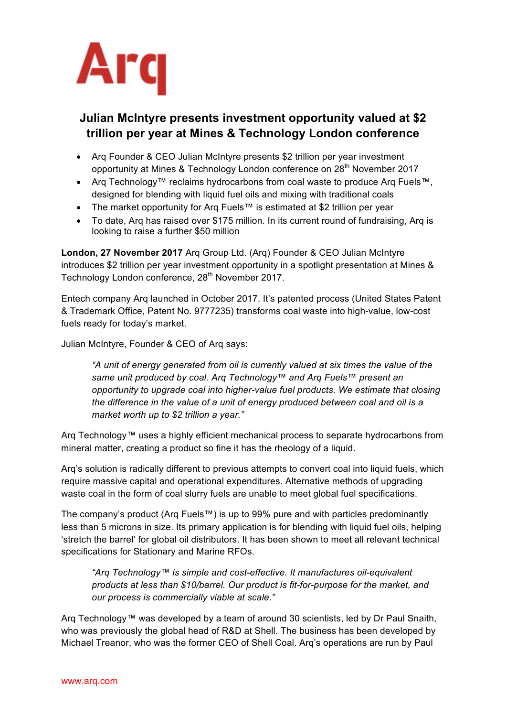

## **Julian McIntyre presents investment opportunity valued at \$2 trillion per year at Mines & Technology London conference**

- Arq Founder & CEO Julian McIntyre presents \$2 trillion per year investment opportunity at Mines & Technology London conference on 28<sup>th</sup> November 2017
- Arq Technology™ reclaims hydrocarbons from coal waste to produce Arq Fuels™, designed for blending with liquid fuel oils and mixing with traditional coals
- The market opportunity for Arq Fuels™ is estimated at \$2 trillion per year
- To date, Arq has raised over \$175 million. In its current round of fundraising, Arq is looking to raise a further \$50 million

**London, 27 November 2017** Arq Group Ltd. (Arq) Founder & CEO Julian McIntyre introduces \$2 trillion per year investment opportunity in a spotlight presentation at Mines & Technology London conference, 28<sup>th</sup> November 2017.

Entech company Arq launched in October 2017. It's patented process (United States Patent & Trademark Office, Patent No. 9777235) transforms coal waste into high-value, low-cost fuels ready for today's market.

Julian McIntyre, Founder & CEO of Arq says:

*"A unit of energy generated from oil is currently valued at six times the value of the same unit produced by coal. Arq Technology™ and Arq Fuels™ present an opportunity to upgrade coal into higher-value fuel products. We estimate that closing the difference in the value of a unit of energy produced between coal and oil is a market worth up to \$2 trillion a year."*

Arq Technology™ uses a highly efficient mechanical process to separate hydrocarbons from mineral matter, creating a product so fine it has the rheology of a liquid.

Arq's solution is radically different to previous attempts to convert coal into liquid fuels, which require massive capital and operational expenditures. Alternative methods of upgrading waste coal in the form of coal slurry fuels are unable to meet global fuel specifications.

The company's product (Arq Fuels™) is up to 99% pure and with particles predominantly less than 5 microns in size. Its primary application is for blending with liquid fuel oils, helping 'stretch the barrel' for global oil distributors. It has been shown to meet all relevant technical specifications for Stationary and Marine RFOs.

*"Arq Technology™ is simple and cost-effective. It manufactures oil-equivalent products at less than \$10/barrel. Our product is fit-for-purpose for the market, and our process is commercially viable at scale."*

Arq Technology™ was developed by a team of around 30 scientists, led by Dr Paul Snaith, who was previously the global head of R&D at Shell. The business has been developed by Michael Treanor, who was the former CEO of Shell Coal. Arq's operations are run by Paul